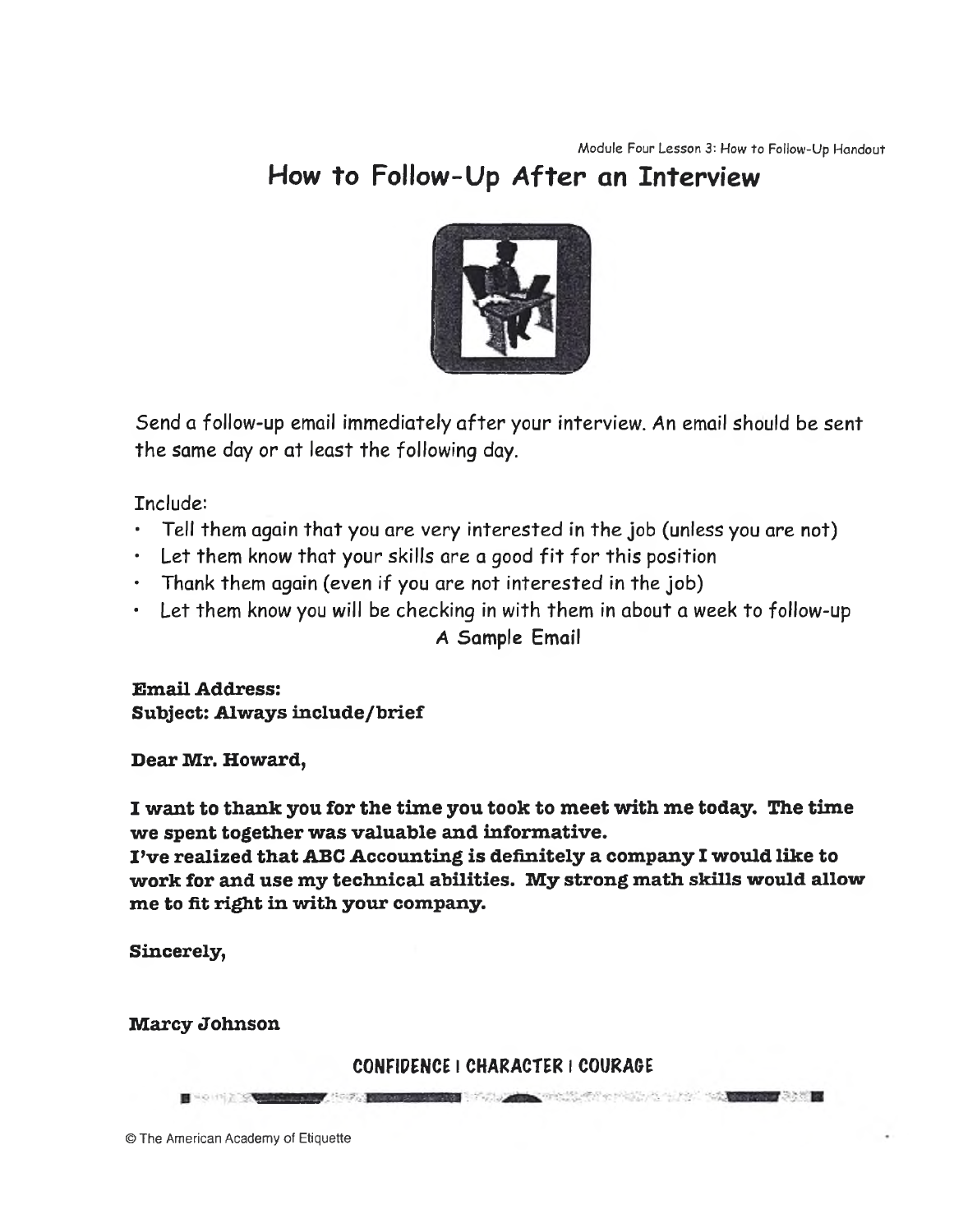## **How to Follow-Up After an Interview**



Send a follow-up email immediately after your interview. An email should be sent the same day or at least the following day.

Include:

- Tell them again that you are very interested in the job (unless you are not)
- Let them know that your skills are a good fit for this position
- $\cdot$  Thank them again (even if you are not interested in the job)
- Let them know you will be checking in with them in about a week to follow-up

A Sample Email

**Email Address: Subject: Always include/brief**

**Dear Mr. Howard,**

**I want to thank you for the time you took to meet with me today. The time we spent together was valuable and informative.**

**I 've realized that ABC Accounting is definitely a company I would like to** work for and use my technical abilities. My strong math skills would allow **me to fit right in with your company.**

**Sincerely,**

**Marcy Johnson**

CONFIDENCE I CHARACTER I COURAGE

© The American Academy of Etiquette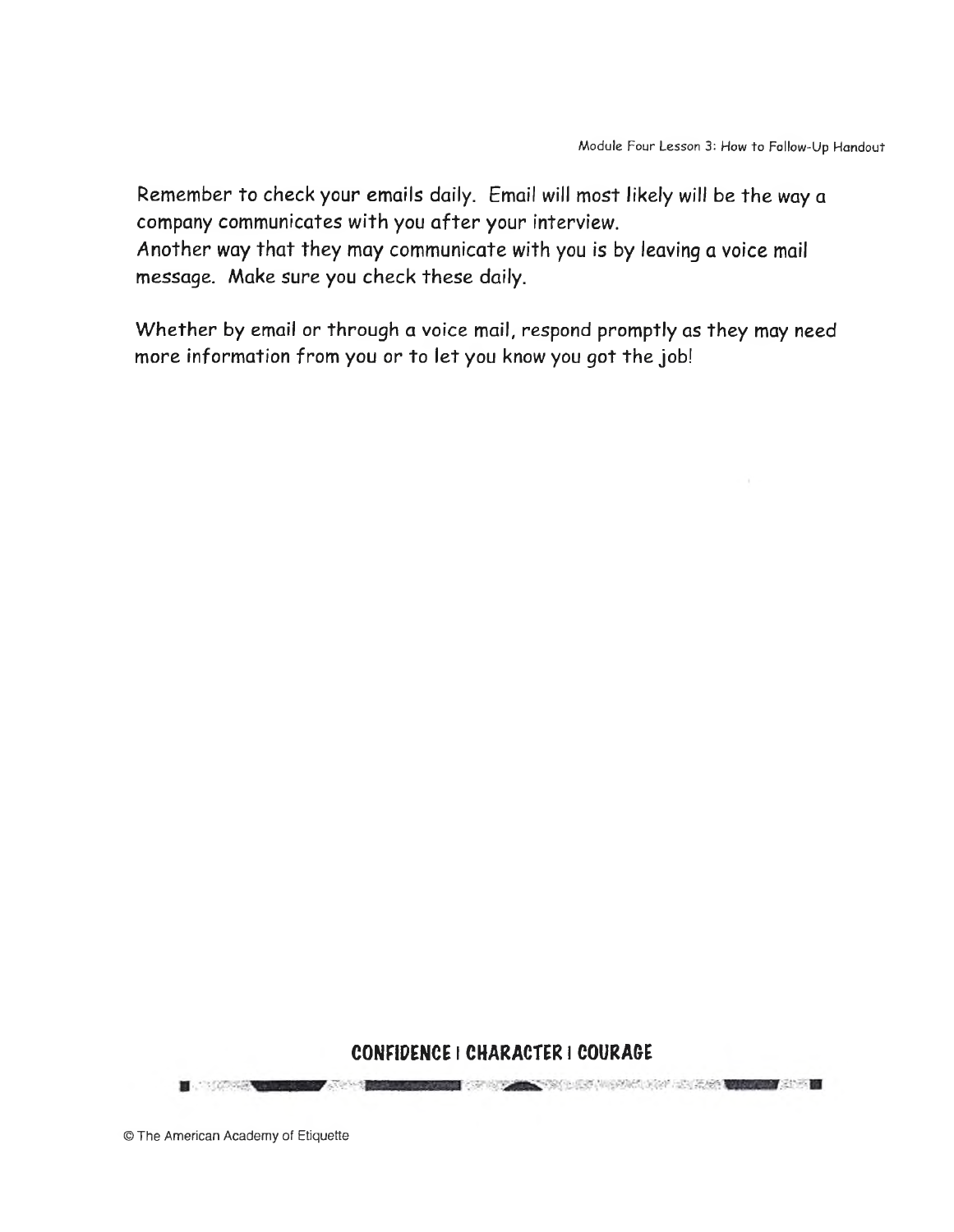Remember to check your emails daily. Email will most likely will be the way a company communicates with you after your interview.

Another way that they may communicate with you is by leaving a voice mail message. Make sure you check these daily.

Whether by email or through a voice mail, respond promptly as they may need more information from you or to let you know you got the job!

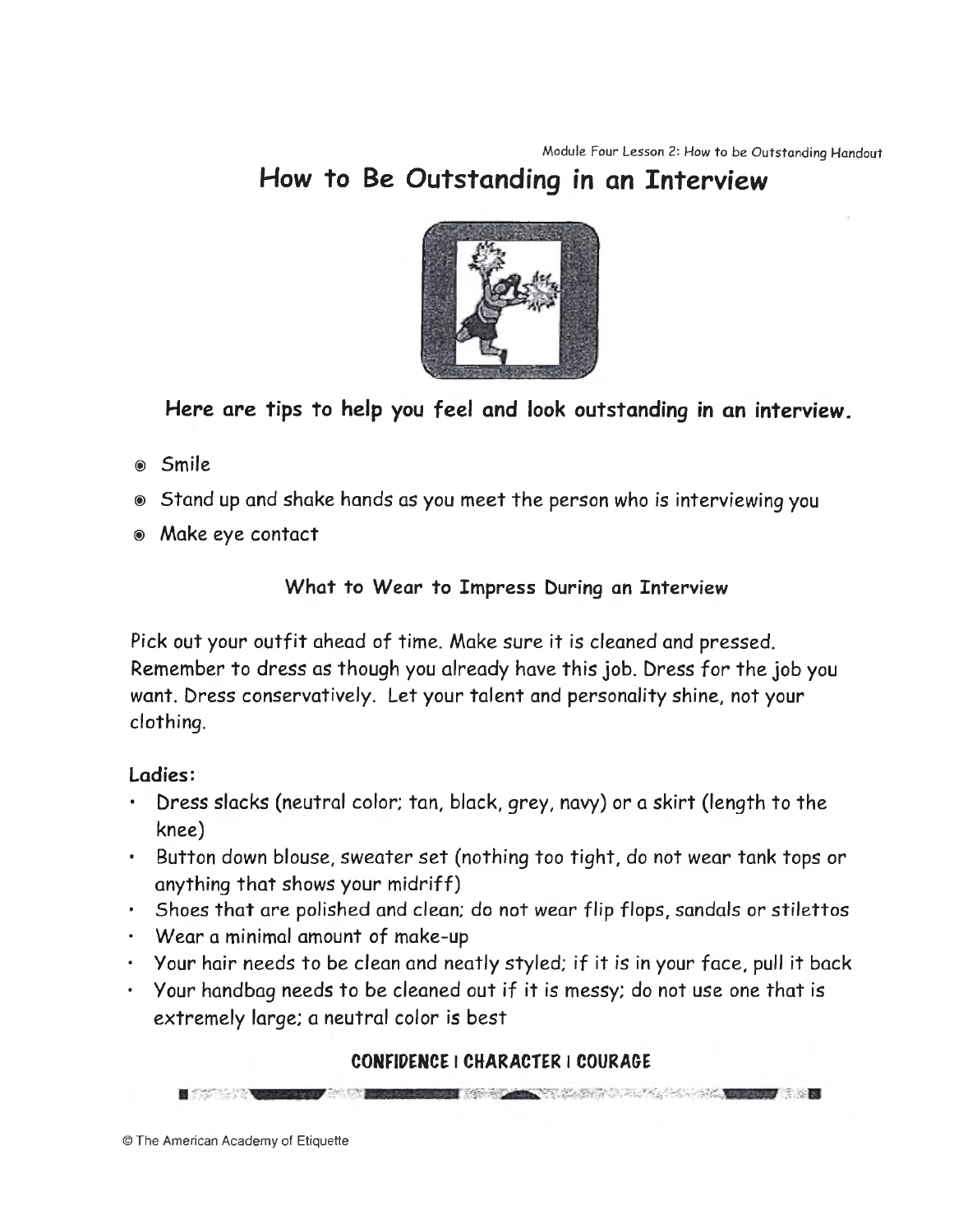## **How to Be Outstanding in an Interview**



### *Here are* **tips to help you feel and look outstanding in an interview.**

- ® Smile
- ® Stand up and shake hands as you meet the person who is interviewing you
- ® Make eye contact

#### What to Wear to Impress During an Interview

Pick out your outfit ahead of time. Make sure it is cleaned and pressed. Remember to dress as though you already have this job. Dress for the job you want. Dress conservatively. Let your talent and personality shine, not your clothing.

#### Ladies:

- Dress slacks (neutral color; tan, black, grey, navy) or a skirt (length to the knee)
- Button down blouse, *sweater* set (nothing too tight, do not wear tank tops or anything that shows your midriff)
- Shoes that are polished and clean; do not wear flip flops, sandals or stilettos
- Wear a minimal amount of make-up
- Your hair needs to be clean and neatly styled; if it is in your face, pull it back
- Your handbag needs to be cleaned out if it is messy; do not use one that is extremely large; a neutral color is best

#### CONFIDENCE I CHARACTER I COURAGE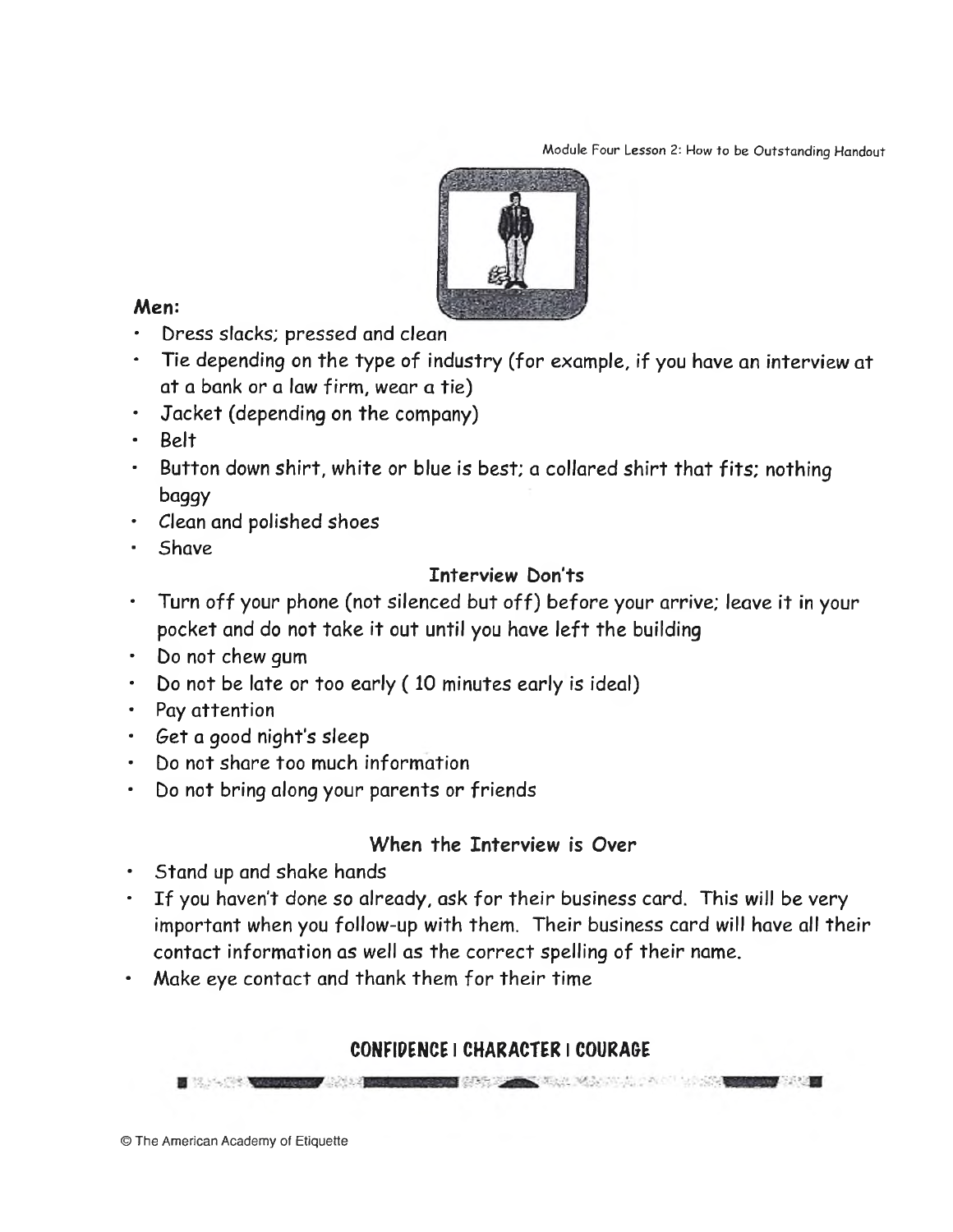Module Four Lesson 2: How to be Outstanding Handout



#### Men:

- Dress slacks; pressed and clean
- Tie depending on the type of industry (for example, if you have an interview at at a bank or a law firm, wear a tie)
- Jacket (depending on the company)
- Belt
- Button down shirt, white or blue is best; a collared shirt that fits; nothing baggy
- Clean and polished shoes
- **Shave**

#### Interview Don'ts

- Turn off your phone (not silenced but o ff) before your arrive; leave it in your pocket and do not take it out until you have left the building
- Do not chew gum
- Do not be late or too early (10 minutes early is ideal)
- Pay attention
- *Get* a good night's sleep
- Do not share too much information
- Do not bring along your parents or friends

#### When the Interview is Over

- Stand up and shake hands
- If you haven't done so already, ask for their business card. This will be very important when you follow-up with them. Their business card will have all their contact information as well as the correct spelling of their name.
- Make eye contact and thank them for their time

#### CONFIDENCE I CHARACTER I COURAGE

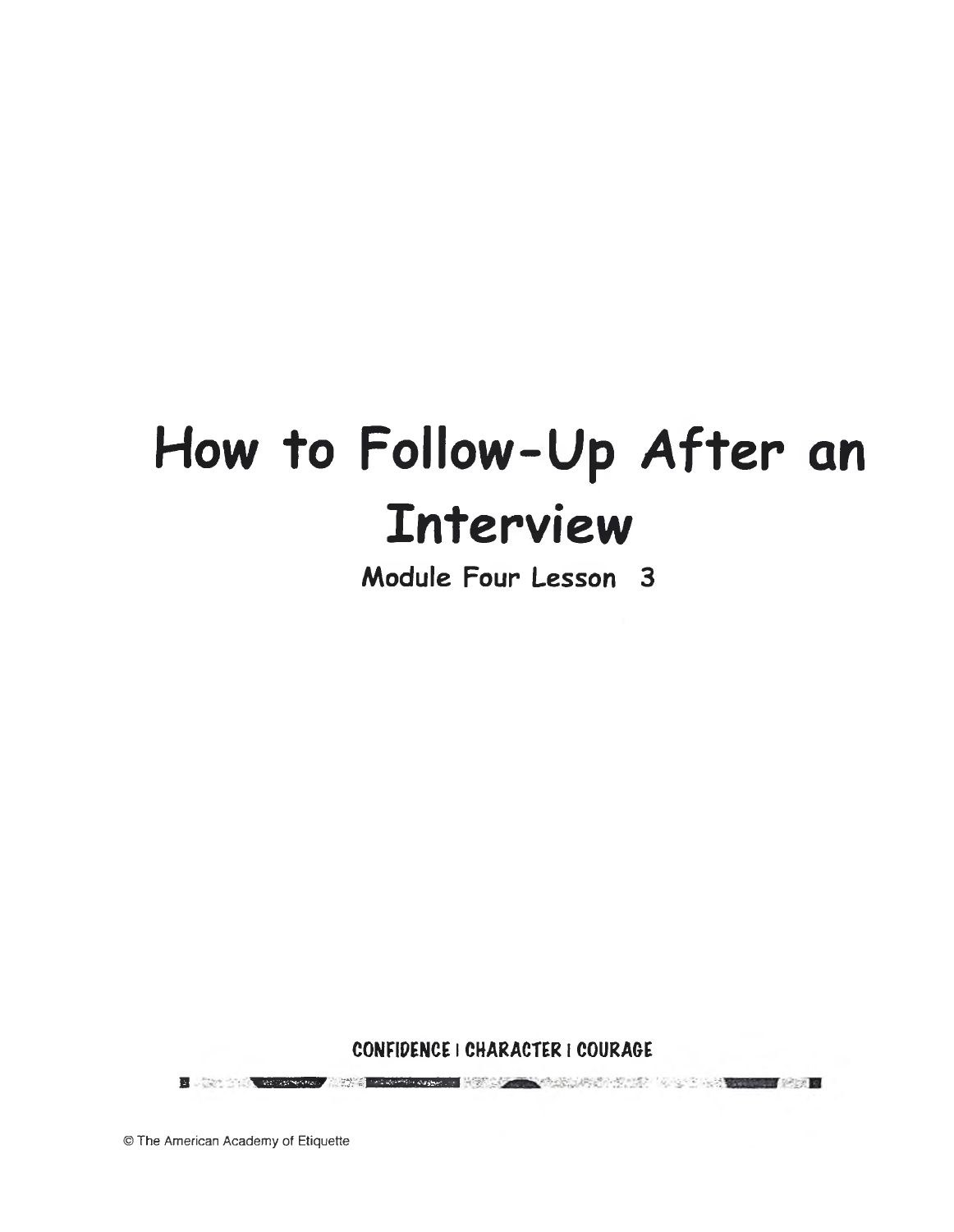# **How to Follow-Up A fter an Interview**

**Module Four Lesson 3**

**CONFIDENCE** | **CHARACTER** | **COURAGE** 日、 (2013)、 中国大学、 (2013) 中国大学、 中国大学、 中国大学、 中国大学、 (2013) 中国大学、 (2013) 中国大学、 (2013)

© The American Academy of Etiquette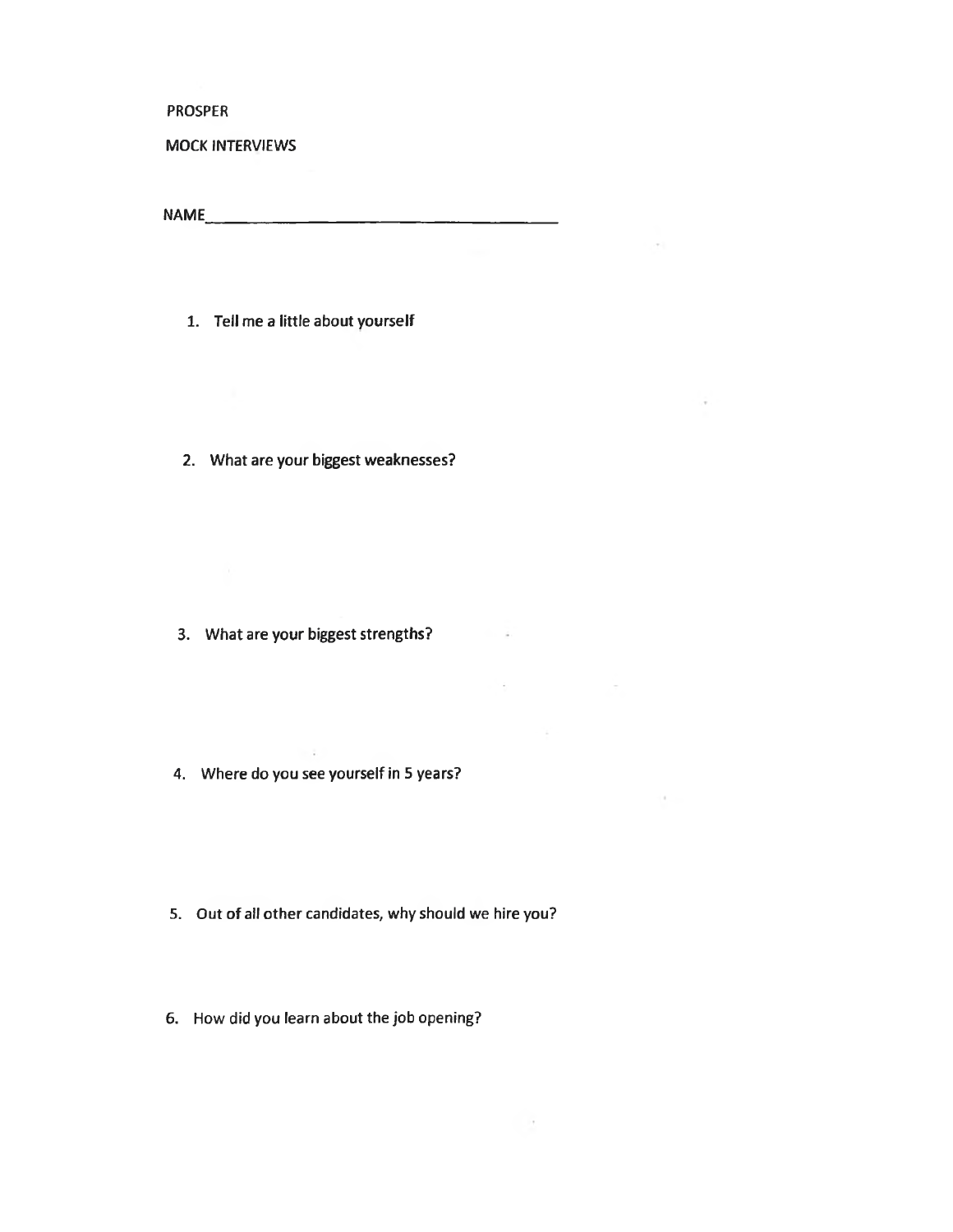**PROSPER**

#### MOCK INTERVIEWS

NAME

 $\sim 10^{-1}$ 

 $\sim$ 

allen in the state of the

 $\sim$  10  $\sigma$ 

÷

1. Tell me a little about yourself

2. What are your biggest weaknesses?

3. What are your biggest strengths?

- $\sim 10$ 4. Where do you see yourself in 5 years?
- 5. Out of all other candidates, why should we hire you?
- 6. How did you learn about the job opening?